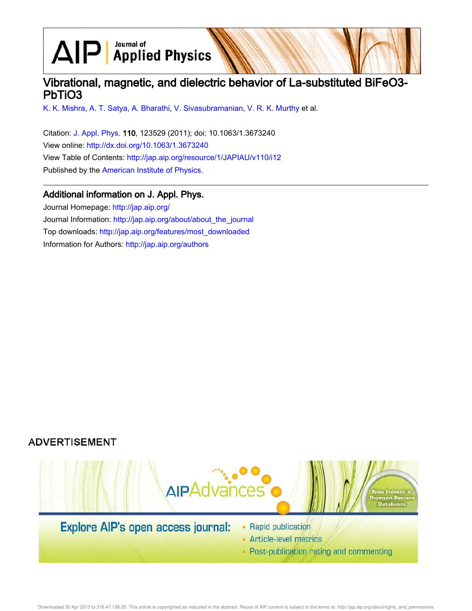# $\text{AlP}$  Applied Physics

# Vibrational, magnetic, and dielectric behavior of La-substituted BiFeO3- PbTiO3

K. K. Mishra, A. T. Satya, A. Bharathi, V. Sivasubramanian, V. R. K. Murthy et al.

Citation: J. Appl. Phys. 110, 123529 (2011); doi: 10.1063/1.3673240 View online: http://dx.doi.org/10.1063/1.3673240 View Table of Contents: http://jap.aip.org/resource/1/JAPIAU/v110/i12 Published by the American Institute of Physics.

# Additional information on J. Appl. Phys.

Journal Homepage: http://jap.aip.org/ Journal Information: http://jap.aip.org/about/about\_the\_journal Top downloads: http://jap.aip.org/features/most\_downloaded Information for Authors: http://jap.aip.org/authors

# **ADVERTISEMENT**



- Article-level metrics
- Post-publication rating and commenting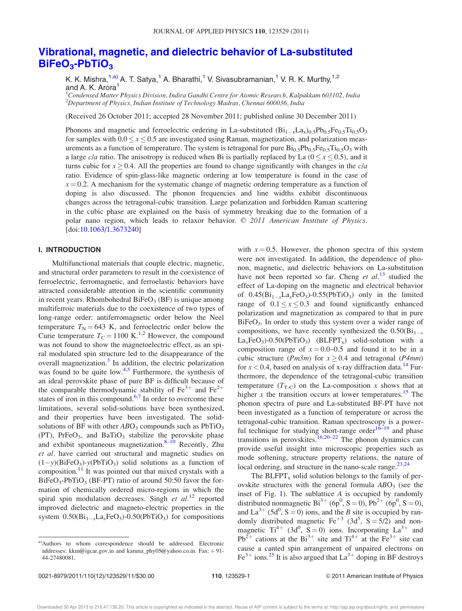# Vibrational, magnetic, and dielectric behavior of La-substituted BiFeO<sub>3</sub>-PbTiO<sub>3</sub>

K. K. Mishra,<sup>1,a)</sup> A. T. Satya,<sup>1</sup> A. Bharathi,<sup>1</sup> V. Sivasubramanian,<sup>1</sup> V. R. K. Murthy,<sup>1,2</sup> and A. K. Arora<sup>1</sup>

<sup>1</sup>Condensed Matter Physics Division, Indira Gandhi Centre for Atomic Research, Kalpakkam 603102, India  $^{2}$ Department of Physics, Indian Institute of Technology Madras, Chennai 600036, India

(Received 26 October 2011; accepted 28 November 2011; published online 30 December 2011)

Phonons and magnetic and ferroelectric ordering in La-substituted  $(Bi_{1-x}La_x)_{0.5}Pb_{0.5}Fe_{0.5}Ti_{0.5}O_3$ for samples with  $0.0 \le x \le 0.5$  are investigated using Raman, magnetization, and polarization measurements as a function of temperature. The system is tetragonal for pure  $Bi_{0.5}Pb_{0.5}Fe_{0.5}Ti_{0.5}O_3$  with a large c/a ratio. The anisotropy is reduced when Bi is partially replaced by La  $(0 \le x \le 0.5)$ , and it turns cubic for  $x \ge 0.4$ . All the properties are found to change significantly with changes in the  $c/a$ ratio. Evidence of spin-glass-like magnetic ordering at low temperature is found in the case of  $x = 0.2$ . A mechanism for the systematic change of magnetic ordering temperature as a function of doping is also discussed. The phonon frequencies and line widths exhibit discontinuous changes across the tetragonal-cubic transition. Large polarization and forbidden Raman scattering in the cubic phase are explained on the basis of symmetry breaking due to the formation of a polar nano region, which leads to relaxor behavior.  $\odot$  2011 American Institute of Physics. [doi:10.1063/1.3673240]

## I. INTRODUCTION

Multifunctional materials that couple electric, magnetic, and structural order parameters to result in the coexistence of ferroelectric, ferromagnetic, and ferroelastic behaviors have attracted considerable attention in the scientific community in recent years. Rhombohedral BiFe $O_3$  (BF) is unique among multiferroic materials due to the coexistence of two types of long-range order: antiferromagnetic order below the Neel temperature  $T_N = 643$  K, and ferroelectric order below the Curie temperature  $T_c = 1100 \text{ K}^{1,2}$  However, the compound was not found to show the magnetoelectric effect, as an spiral modulated spin structure led to the disappearance of the overall magnetization.<sup>3</sup> In addition, the electric polarization was found to be quite low.<sup>4,5</sup> Furthermore, the synthesis of an ideal perovskite phase of pure BF is difficult because of the comparable thermodynamic stability of  $\text{Fe}^{3+}$  and  $\text{Fe}^{2+}$ states of iron in this compound. $6,7$  In order to overcome these limitations, several solid-solutions have been synthesized, and their properties have been investigated. The solidsolutions of BF with other  $ABO<sub>3</sub>$  compounds such as  $PbTiO<sub>3</sub>$ (PT),  $PrFeO<sub>3</sub>$ , and  $Bario<sub>3</sub>$  stabilize the perovskite phase and exhibit spontaneous magnetization.<sup>8–10</sup> Recently, Zhu et al. have carried out structural and magnetic studies on  $(1-y)(BiFeO<sub>3</sub>)$ -y(PbTiO<sub>3</sub>) solid solutions as a function of composition. $11$  It was pointed out that mixed crystals with a  $BiFeO<sub>3</sub>-PbTiO<sub>3</sub>$  (BF-PT) ratio of around 50:50 favor the formation of chemically ordered micro-regions in which the spiral spin modulation decreases. Singh *et al.*<sup>12</sup> reported improved dielectric and magneto-electric properties in the system  $0.50(Bi_{1-x}La_xFeO_3) - 0.50(PbTiO_3)$  for compositions

with  $x = 0.5$ . However, the phonon spectra of this system were not investigated. In addition, the dependence of phonon, magnetic, and dielectric behaviors on La-substitution have not been reported so far. Cheng et  $al$ <sup>13</sup> studied the effect of La-doping on the magnetic and electrical behavior of  $0.45(Bi_{1-x}La_xFeO_3) - 0.55(PbTiO_3)$  only in the limited range of  $0.1 \le x \le 0.3$  and found significantly enhanced polarization and magnetization as compared to that in pure BiFeO<sub>3</sub>. In order to study this system over a wider range of compositions, we have recently synthesized the  $0.50(Bi_{1-x})$  $La<sub>x</sub>FeO<sub>3</sub> - 0.50(PbTiO<sub>3</sub>)$  (BLFPT<sub>x</sub>) solid-solution with a composition range of  $x = 0.0-0.5$  and found it to be in a cubic structure (*Pm3m*) for  $x \ge 0.4$  and tetragonal (*P4mm*) for  $x < 0.4$ , based on analysis of x-ray diffraction data.<sup>14</sup> Furthermore, the dependence of the tetragonal-cubic transition temperature  $(T<sub>T-C</sub>)$  on the La-composition x shows that at higher x the transition occurs at lower temperatures.<sup>15</sup> The phonon spectra of pure and La-substituted BF-PT have not been investigated as a function of temperature or across the tetragonal-cubic transition. Raman spectroscopy is a powerful technique for studying short-range order $16-19$  and phase transitions in perovskites.<sup>16,20–22</sup> The phonon dynamics can provide useful insight into microscopic properties such as mode softening, structure property relations, the nature of local ordering, and structure in the nano-scale range.<sup>23,24</sup>

The BLFPT<sub>x</sub> solid solution belongs to the family of perovskite structures with the general formula  $ABO<sub>3</sub>$  (see the inset of Fig.  $1$ ). The sublattice A is occupied by randomly distributed nonmagnetic Bi<sup>3+</sup> (6p<sup>0</sup>, S = 0), Pb<sup>2+</sup> (6p<sup>0</sup>, S = 0), and La<sup>3+</sup> (5d<sup>0</sup>, S = 0) ions, and the B site is occupied by randomly distributed magnetic  $Fe^{+3}$  (3d<sup>5</sup>, S = 5/2) and nonmagnetic  $Ti^{4+}$  (3d<sup>0</sup>, S = 0) ions. Incorporating La<sup>3+</sup> and  $Pb^{2+}$  cations at the Bi<sup>3+</sup> site and Ti<sup>4+</sup> at the Fe<sup>3+</sup> site can cause a canted spin arrangement of unpaired electrons on  $\text{Fe}^{3+}$  ions.<sup>25</sup> It is also argued that  $\text{La}^{3+}$  doping in BF destroys

a)Authors to whom correspondence should be addressed. Electronic addresses: kkm@igcar.gov.in and karuna\_phy05@yahoo.co.in. Fax: +91-44-27480081.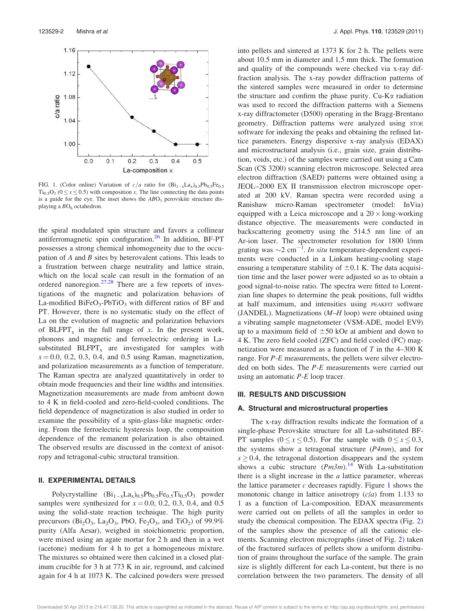

FIG. 1. (Color online) Variation of  $c/a$  ratio for  $(Bi_{1-x}La_{x})_{0.5}Pb_{0.5}Fe_{0.5}$  $Ti<sub>0.5</sub>O<sub>3</sub>$  ( $0 \le x \le 0.5$ ) with composition x. The line connecting the data points is a guide for the eye. The inset shows the  $ABO<sub>3</sub>$  perovskite structure displaying a  $BO<sub>6</sub>$  octahedron.

the spiral modulated spin structure and favors a collinear antiferromagnetic spin configuration.<sup>26</sup> In addition, BF-PT possesses a strong chemical inhomogeneity due to the occupation of  $A$  and  $B$  sites by heterovalent cations. This leads to a frustration between charge neutrality and lattice strain, which on the local scale can result in the formation of an ordered nanoregion.<sup>27,28</sup> There are a few reports of investigations of the magnetic and polarization behaviors of La-modified BiFeO<sub>3</sub>-PbTiO<sub>3</sub> with different ratios of BF and PT. However, there is no systematic study on the effect of La on the evolution of magnetic and polarization behaviors of  $BLFPT_x$  in the full range of x. In the present work, phonons and magnetic and ferroelectric ordering in Lasubstituted  $BLFPT<sub>x</sub>$  are investigated for samples with  $x = 0.0, 0.2, 0.3, 0.4,$  and 0.5 using Raman, magnetization, and polarization measurements as a function of temperature. The Raman spectra are analyzed quantitatively in order to obtain mode frequencies and their line widths and intensities. Magnetization measurements are made from ambient down to 4 K in field-cooled and zero-field-cooled conditions. The field dependence of magnetization is also studied in order to examine the possibility of a spin-glass-like magnetic ordering. From the ferroelectric hysteresis loop, the composition dependence of the remanent polarization is also obtained. The observed results are discussed in the context of anisotropy and tetragonal-cubic structural transition.

## II. EXPERIMENTAL DETAILS

Polycrystalline  $(Bi_{1-x}La_x)_{0.5}Pb_{0.5}Fe_{0.5}Ti_{0.5}O_3$  powder samples were synthesized for  $x = 0.0, 0.2, 0.3, 0.4,$  and 0.5 using the solid-state reaction technique. The high purity precursors ( $Bi<sub>2</sub>O<sub>3</sub>$ ,  $La<sub>2</sub>O<sub>3</sub>$ ,  $PbO$ ,  $Fe<sub>2</sub>O<sub>3</sub>$ , and  $TiO<sub>2</sub>$ ) of 99.9% purity (Alfa Aesar), weighed in stoichiometric proportion, were mixed using an agate mortar for 2 h and then in a wet (acetone) medium for 4 h to get a homogeneous mixture. The mixtures so obtained were then calcined in a closed platinum crucible for 3 h at 773 K in air, reground, and calcined again for 4 h at 1073 K. The calcined powders were pressed into pellets and sintered at 1373 K for 2 h. The pellets were about 10.5 mm in diameter and 1.5 mm thick. The formation and quality of the compounds were checked via x-ray diffraction analysis. The x-ray powder diffraction patterns of the sintered samples were measured in order to determine the structure and confirm the phase purity.  $Cu-K\alpha$  radiation was used to record the diffraction patterns with a Siemens x-ray diffractometer (D500) operating in the Bragg-Brentano geometry. Diffraction patterns were analyzed using  $\sigma$ software for indexing the peaks and obtaining the refined lattice parameters. Energy dispersive x-ray analysis (EDAX) and microstructural analysis (i.e., grain size, grain distribution, voids, etc.) of the samples were carried out using a Cam Scan (CS 3200) scanning electron microscope. Selected area electron diffraction (SAED) patterns were obtained using a JEOL–2000 EX II transmission electron microscope operated at 200 kV. Raman spectra were recorded using a Ranishaw micro-Raman spectrometer (model: InVia) equipped with a Leica microscope and a  $20 \times$ long-working distance objective. The measurements were conducted in backscattering geometry using the 514.5 nm line of an Ar-ion laser. The spectrometer resolution for 1800 l/mm grating was  $\sim$ 2 cm<sup>-1</sup>. In situ temperature-dependent experiments were conducted in a Linkam heating-cooling stage ensuring a temperature stability of  $\pm 0.1$  K. The data acquisition time and the laser power were adjusted so as to obtain a good signal-to-noise ratio. The spectra were fitted to Lorentzian line shapes to determine the peak positions, full widths at half maximum, and intensities using PEAKFIT software (JANDEL). Magnetizations (M–H loop) were obtained using a vibrating sample magnetometer (VSM-ADE, model EV9) up to a maximum field of  $\pm 50$  kOe at ambient and down to 4 K. The zero field cooled (ZFC) and field cooled (FC) magnetization were measured as a function of  $T$  in the 4–300 K range. For P-E measurements, the pellets were silver electroded on both sides. The P-E measurements were carried out using an automatic P-E loop tracer.

#### III. RESULTS AND DISCUSSION

#### A. Structural and microstructural properties

The x-ray diffraction results indicate the formation of a single-phase Perovskite structure for all La-substituted BF-PT samples  $(0 \lt x \lt 0.5)$ . For the sample with  $0 \lt x \lt 0.3$ , the systems show a tetragonal structure  $(P4mm)$ , and for  $x \ge 0.4$ , the tetragonal distortion disappears and the system shows a cubic structure  $(Pm3m)^{14}$  With La-substitution there is a slight increase in the  $a$  lattice parameter, whereas the lattice parameter  $c$  decreases rapidly. Figure 1 shows the monotonic change in lattice anisotropy  $(c/a)$  from 1.133 to 1 as a function of La-composition. EDAX measurements were carried out on pellets of all the samples in order to study the chemical composition. The EDAX spectra (Fig. 2) of the samples show the presence of all the cationic elements. Scanning electron micrographs (inset of Fig. 2) taken of the fractured surfaces of pellets show a uniform distribution of grains throughout the surface of the sample. The grain size is slightly different for each La-content, but there is no correlation between the two parameters. The density of all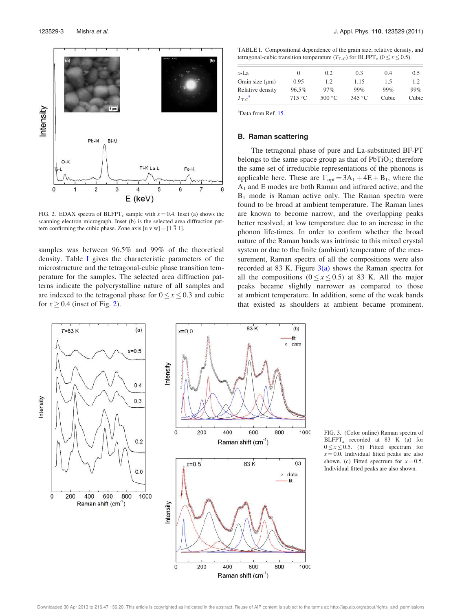

FIG. 2. EDAX spectra of BLFPT<sub>x</sub> sample with  $x = 0.4$ . Inset (a) shows the scanning electron micrograph. Inset (b) is the selected area diffraction pattern confirming the cubic phase. Zone axis  $[u v w] = [1 \overline{3} \overline{1}]$ .

samples was between 96.5% and 99% of the theoretical density. Table I gives the characteristic parameters of the microstructure and the tetragonal-cubic phase transition temperature for the samples. The selected area diffraction patterns indicate the polycrystalline nature of all samples and are indexed to the tetragonal phase for  $0 \le x \le 0.3$  and cubic for  $x \ge 0.4$  (inset of Fig. 2).

TABLE I. Compositional dependence of the grain size, relative density, and tetragonal-cubic transition temperature ( $T_{\text{T-C}}$ ) for BLFPT<sub>x</sub> ( $0 \le x \le 0.5$ ).

| $x-La$                        | $\theta$        | 0.2    | 0.3             | 0.4   | 0.5   |
|-------------------------------|-----------------|--------|-----------------|-------|-------|
| Grain size $(\mu m)$          | 0.95            | 1.2    | 1.15            | 1.5   | 1.2   |
| Relative density              | 96.5%           | 97%    | 99%             | 99%   | 99%   |
| $T_{\text{T-}C}$ <sup>a</sup> | $715\text{ °C}$ | 500 °C | $345^{\circ}$ C | Cubic | Cubic |

<sup>a</sup>Data from Ref. 15.

## B. Raman scattering

The tetragonal phase of pure and La-substituted BF-PT belongs to the same space group as that of  $PbTiO<sub>3</sub>$ ; therefore the same set of irreducible representations of the phonons is applicable here. These are  $\Gamma_{opt} = 3A_1 + 4E + B_1$ , where the  $A_1$  and E modes are both Raman and infrared active, and the  $B_1$  mode is Raman active only. The Raman spectra were found to be broad at ambient temperature. The Raman lines are known to become narrow, and the overlapping peaks better resolved, at low temperature due to an increase in the phonon life-times. In order to confirm whether the broad nature of the Raman bands was intrinsic to this mixed crystal system or due to the finite (ambient) temperature of the measurement, Raman spectra of all the compositions were also recorded at 83 K. Figure  $3(a)$  shows the Raman spectra for all the compositions  $(0 \le x \le 0.5)$  at 83 K. All the major peaks became slightly narrower as compared to those at ambient temperature. In addition, some of the weak bands that existed as shoulders at ambient became prominent.



FIG. 3. (Color online) Raman spectra of  $BLFPT<sub>x</sub>$  recorded at 83 K (a) for  $0 \le x \le 0.5$ . (b) Fitted spectrum for  $x = 0.0$ . Individual fitted peaks are also shown. (c) Fitted spectrum for  $x = 0.5$ . Individual fitted peaks are also shown.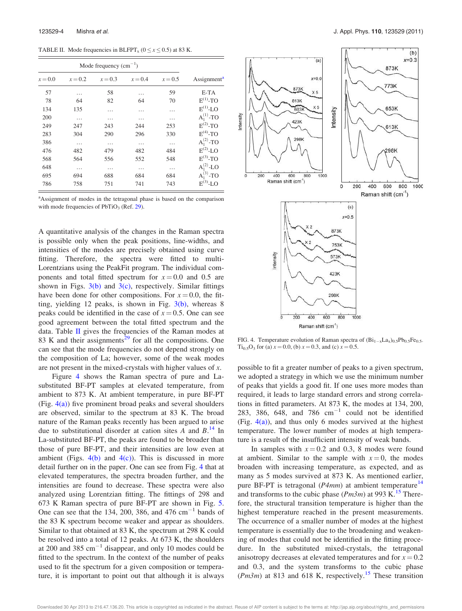TABLE II. Mode frequencies in BLFPT<sub>x</sub> ( $0 \le x \le 0.5$ ) at 83 K.

| $x = 0.0$ | $x = 0.2$ | $x = 0.3$ | $x = 0.4$ | $x = 0.5$ | Assignment <sup>a</sup> |
|-----------|-----------|-----------|-----------|-----------|-------------------------|
| 57        | .         | 58        | .         | 59        | E-TA                    |
| 78        | 64        | 82        | 64        | 70        | $E^{(1)}$ -TO           |
| 134       | 135       | .         | .         | .         | $E^{(1)}$ -LO           |
| 200       | .         | .         | .         | .         | $A_1^{(1)}$ -TO         |
| 249       | 247       | 243       | 244       | 253       | $E^{(2)}$ -TO           |
| 283       | 304       | 290       | 296       | 330       | $E^{(4)}$ -TO           |
| 386       | .         | .         | .         | .         | $A_1^{(2)}$ -TO         |
| 476       | 482       | 479       | 482       | 484       | $E^{(2)}$ -LO           |
| 568       | 564       | 556       | 552       | 548       | $E^{(3)}$ -TO           |
| 648       | $\cdots$  | .         | .         | .         | $A_1^{(2)}$ -LO         |
| 695       | 694       | 688       | 684       | 684       | $A_1^{(3)}$ -TO         |
| 786       | 758       | 751       | 741       | 743       | $E^{(3)}$ -LO           |



A quantitative analysis of the changes in the Raman spectra is possible only when the peak positions, line-widths, and intensities of the modes are precisely obtained using curve fitting. Therefore, the spectra were fitted to multi-Lorentzians using the PeakFit program. The individual components and total fitted spectrum for  $x = 0.0$  and 0.5 are shown in Figs.  $3(b)$  and  $3(c)$ , respectively. Similar fittings have been done for other compositions. For  $x = 0.0$ , the fitting, yielding 12 peaks, is shown in Fig.  $3(b)$ , whereas 8 peaks could be identified in the case of  $x = 0.5$ . One can see good agreement between the total fitted spectrum and the data. Table II gives the frequencies of the Raman modes at 83 K and their assignments<sup>29</sup> for all the compositions. One can see that the mode frequencies do not depend strongly on the composition of La; however, some of the weak modes are not present in the mixed-crystals with higher values of x.

Figure 4 shows the Raman spectra of pure and Lasubstituted BF-PT samples at elevated temperature, from ambient to 873 K. At ambient temperature, in pure BF-PT (Fig.  $4(a)$ ) five prominent broad peaks and several shoulders are observed, similar to the spectrum at 83 K. The broad nature of the Raman peaks recently has been argued to arise due to substitutional disorder at cation sites  $\ddot{A}$  and  $\ddot{B}$ .<sup>14</sup> In La-substituted BF-PT, the peaks are found to be broader than those of pure BF-PT, and their intensities are low even at ambient (Figs.  $4(b)$  and  $4(c)$ ). This is discussed in more detail further on in the paper. One can see from Fig. 4 that at elevated temperatures, the spectra broaden further, and the intensities are found to decrease. These spectra were also analyzed using Lorentzian fitting. The fittings of 298 and 673 K Raman spectra of pure BF-PT are shown in Fig. 5. One can see that the 134, 200, 386, and 476  $\text{cm}^{-1}$  bands of the 83 K spectrum become weaker and appear as shoulders. Similar to that obtained at 83 K, the spectrum at 298 K could be resolved into a total of 12 peaks. At 673 K, the shoulders at 200 and 385  $cm^{-1}$  disappear, and only 10 modes could be fitted to the spectrum. In the context of the number of peaks used to fit the spectrum for a given composition or temperature, it is important to point out that although it is always



FIG. 4. Temperature evolution of Raman spectra of  $(Bi_{1-x}La_x)_{0.5}Pb_{0.5}Fe_{0.5}$  $Ti_{0.5}O_3$  for (a)  $x = 0.0$ , (b)  $x = 0.3$ , and (c)  $x = 0.5$ .

possible to fit a greater number of peaks to a given spectrum, we adopted a strategy in which we use the minimum number of peaks that yields a good fit. If one uses more modes than required, it leads to large standard errors and strong correlations in fitted parameters. At 873 K, the modes at 134, 200, 283, 386, 648, and 786  $cm^{-1}$  could not be identified (Fig.  $4(a)$ ), and thus only 6 modes survived at the highest temperature. The lower number of modes at high temperature is a result of the insufficient intensity of weak bands.

In samples with  $x = 0.2$  and 0.3, 8 modes were found at ambient. Similar to the sample with  $x = 0$ , the modes broaden with increasing temperature, as expected, and as many as 5 modes survived at 873 K. As mentioned earlier, pure BF-PT is tetragonal ( $P4mm$ ) at ambient temperature<sup>14</sup> and transforms to the cubic phase ( $Pm3m$ ) at 993 K.<sup>15</sup> Therefore, the structural transition temperature is higher than the highest temperature reached in the present measurements. The occurrence of a smaller number of modes at the highest temperature is essentially due to the broadening and weakening of modes that could not be identified in the fitting procedure. In the substituted mixed-crystals, the tetragonal anisotropy decreases at elevated temperatures and for  $x = 0.2$ and 0.3, and the system transforms to the cubic phase  $(Pm3m)$  at 813 and 618 K, respectively.<sup>15</sup> These transition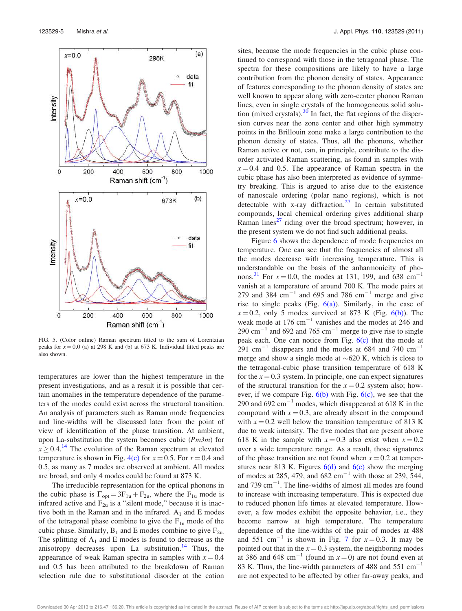

FIG. 5. (Color online) Raman spectrum fitted to the sum of Lorentzian peaks for  $x = 0.0$  (a) at 298 K and (b) at 673 K. Individual fitted peaks are also shown.

temperatures are lower than the highest temperature in the present investigations, and as a result it is possible that certain anomalies in the temperature dependence of the parameters of the modes could exist across the structural transition. An analysis of parameters such as Raman mode frequencies and line-widths will be discussed later from the point of view of identification of the phase transition. At ambient, upon La-substitution the system becomes cubic  $(Pm3m)$  for  $x \ge 0.4$ .<sup>14</sup> The evolution of the Raman spectrum at elevated temperature is shown in Fig. 4(c) for  $x = 0.5$ . For  $x = 0.4$  and 0.5, as many as 7 modes are observed at ambient. All modes are broad, and only 4 modes could be found at 873 K.

The irreducible representation for the optical phonons in the cubic phase is  $\Gamma_{opt} = 3F_{1u} + F_{2u}$ , where the  $F_{1u}$  mode is infrared active and  $F_{2u}$  is a "silent mode," because it is inactive both in the Raman and in the infrared.  $A_1$  and E modes of the tetragonal phase combine to give the  $F_{1u}$  mode of the cubic phase. Similarly,  $B_1$  and E modes combine to give  $F_{2u}$ . The splitting of  $A_1$  and E modes is found to decrease as the anisotropy decreases upon La substitution.<sup>14</sup> Thus, the appearance of weak Raman spectra in samples with  $x = 0.4$ and 0.5 has been attributed to the breakdown of Raman selection rule due to substitutional disorder at the cation sites, because the mode frequencies in the cubic phase continued to correspond with those in the tetragonal phase. The spectra for these compositions are likely to have a large contribution from the phonon density of states. Appearance of features corresponding to the phonon density of states are well known to appear along with zero-center phonon Raman lines, even in single crystals of the homogeneous solid solution (mixed crystals). $30 \text{ In fact, the flat regions of the disper-}$ sion curves near the zone center and other high symmetry points in the Brillouin zone make a large contribution to the phonon density of states. Thus, all the phonons, whether Raman active or not, can, in principle, contribute to the disorder activated Raman scattering, as found in samples with  $x = 0.4$  and 0.5. The appearance of Raman spectra in the cubic phase has also been interpreted as evidence of symmetry breaking. This is argued to arise due to the existence of nanoscale ordering (polar nano regions), which is not detectable with x-ray diffraction.<sup>27</sup> In certain substituted compounds, local chemical ordering gives additional sharp Raman lines<sup>27</sup> riding over the broad spectrum; however, in the present system we do not find such additional peaks.

Figure 6 shows the dependence of mode frequencies on temperature. One can see that the frequencies of almost all the modes decrease with increasing temperature. This is understandable on the basis of the anharmonicity of phonons.<sup>31</sup> For  $x = 0.0$ , the modes at 131, 199, and 638 cm<sup>-1</sup> vanish at a temperature of around 700 K. The mode pairs at 279 and 384  $\text{cm}^{-1}$  and 695 and 786  $\text{cm}^{-1}$  merge and give rise to single peaks (Fig.  $6(a)$ ). Similarly, in the case of  $x = 0.2$ , only 5 modes survived at 873 K (Fig. 6(b)). The weak mode at  $176 \text{ cm}^{-1}$  vanishes and the modes at 246 and 290  $\text{cm}^{-1}$  and 692 and 765  $\text{cm}^{-1}$  merge to give rise to single peak each. One can notice from Fig.  $6(c)$  that the mode at  $291$  cm<sup>-1</sup> disappears and the modes at 684 and 740 cm<sup>-1</sup> merge and show a single mode at  $\sim 620$  K, which is close to the tetragonal-cubic phase transition temperature of 618 K for the  $x = 0.3$  system. In principle, one can expect signatures of the structural transition for the  $x = 0.2$  system also; however, if we compare Fig.  $6(b)$  with Fig.  $6(c)$ , we see that the 290 and 692  $\text{cm}^{-1}$  modes, which disappeared at 618 K in the compound with  $x = 0.3$ , are already absent in the compound with  $x = 0.2$  well below the transition temperature of 813 K due to weak intensity. The five modes that are present above 618 K in the sample with  $x = 0.3$  also exist when  $x = 0.2$ over a wide temperature range. As a result, those signatures of the phase transition are not found when  $x = 0.2$  at temperatures near 813 K. Figures  $6(d)$  and  $6(e)$  show the merging of modes at 285, 479, and  $682 \text{ cm}^{-1}$  with those at 239, 544, and  $739 \text{ cm}^{-1}$ . The line-widths of almost all modes are found to increase with increasing temperature. This is expected due to reduced phonon life times at elevated temperature. However, a few modes exhibit the opposite behavior, i.e., they become narrow at high temperature. The temperature dependence of the line-widths of the pair of modes at 488 and 551 cm<sup>-1</sup> is shown in Fig. 7 for  $x=0.3$ . It may be pointed out that in the  $x = 0.3$  system, the neighboring modes at 386 and 648 cm<sup>-1</sup> (found in  $x=0$ ) are not found even at 83 K. Thus, the line-width parameters of 488 and 551  $cm^{-1}$ are not expected to be affected by other far-away peaks, and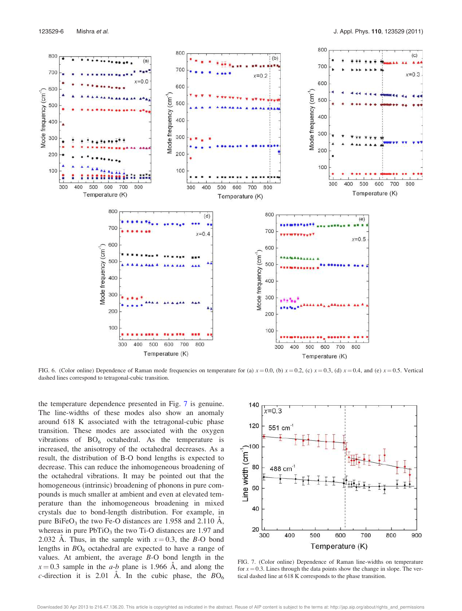

FIG. 6. (Color online) Dependence of Raman mode frequencies on temperature for (a)  $x = 0.0$ , (b)  $x = 0.2$ , (c)  $x = 0.3$ , (d)  $x = 0.4$ , and (e)  $x = 0.5$ . Vertical dashed lines correspond to tetragonal-cubic transition.

the temperature dependence presented in Fig. 7 is genuine. The line-widths of these modes also show an anomaly around 618 K associated with the tetragonal-cubic phase transition. These modes are associated with the oxygen vibrations of  $BO_6$  octahedral. As the temperature is increased, the anisotropy of the octahedral decreases. As a result, the distribution of B-O bond lengths is expected to decrease. This can reduce the inhomogeneous broadening of the octahedral vibrations. It may be pointed out that the homogeneous (intrinsic) broadening of phonons in pure compounds is much smaller at ambient and even at elevated temperature than the inhomogeneous broadening in mixed crystals due to bond-length distribution. For example, in pure BiFeO<sub>3</sub> the two Fe-O distances are 1.958 and 2.110 Å, whereas in pure  $PbTiO<sub>3</sub>$  the two Ti-O distances are 1.97 and 2.032 Å. Thus, in the sample with  $x=0.3$ , the B-O bond lengths in  $BO<sub>6</sub>$  octahedral are expected to have a range of values. At ambient, the average B-O bond length in the  $x = 0.3$  sample in the *a-b* plane is 1.966 Å, and along the c-direction it is 2.01 Å. In the cubic phase, the  $BO_6$ 



FIG. 7. (Color online) Dependence of Raman line-widths on temperature for  $x = 0.3$ . Lines through the data points show the change in slope. The vertical dashed line at 618 K corresponds to the phase transition.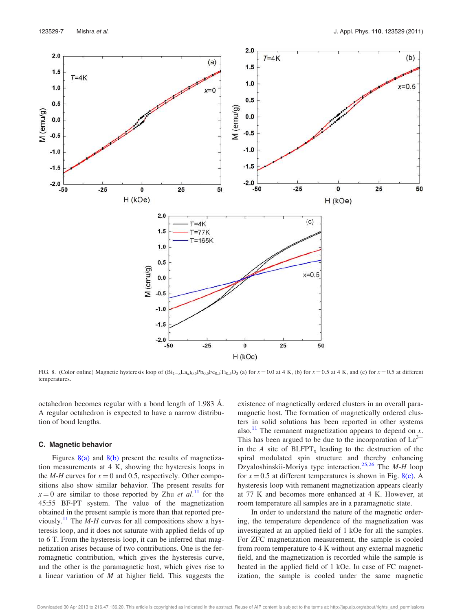

FIG. 8. (Color online) Magnetic hysteresis loop of  $(Bi_{1-x}La_{x})_{0.5}Pb_{0.5}Fe_{0.5}Ti_{0.5}O_3$  (a) for  $x = 0.0$  at 4 K, (b) for  $x = 0.5$  at 4 K, and (c) for  $x = 0.5$  at different temperatures.

octahedron becomes regular with a bond length of 1.983  $\AA$ . A regular octahedron is expected to have a narrow distribution of bond lengths.

#### C. Magnetic behavior

Figures  $8(a)$  and  $8(b)$  present the results of magnetization measurements at 4 K, showing the hysteresis loops in the M-H curves for  $x = 0$  and 0.5, respectively. Other compositions also show similar behavior. The present results for  $x = 0$  are similar to those reported by Zhu *et al.*<sup>11</sup> for the 45:55 BF-PT system. The value of the magnetization obtained in the present sample is more than that reported previously.<sup>11</sup> The *M-H* curves for all compositions show a hysteresis loop, and it does not saturate with applied fields of up to 6 T. From the hysteresis loop, it can be inferred that magnetization arises because of two contributions. One is the ferromagnetic contribution, which gives the hysteresis curve, and the other is the paramagnetic host, which gives rise to a linear variation of  $M$  at higher field. This suggests the existence of magnetically ordered clusters in an overall paramagnetic host. The formation of magnetically ordered clusters in solid solutions has been reported in other systems also.<sup>11</sup> The remanent magnetization appears to depend on x. This has been argued to be due to the incorporation of  $La<sup>3+</sup>$ in the A site of  $BLFPT_x$  leading to the destruction of the spiral modulated spin structure and thereby enhancing Dzyaloshinskii-Moriya type interaction.<sup>25,26</sup> The *M-H* loop for  $x = 0.5$  at different temperatures is shown in Fig. 8(c). A hysteresis loop with remanent magnetization appears clearly at 77 K and becomes more enhanced at 4 K. However, at room temperature all samples are in a paramagnetic state.

In order to understand the nature of the magnetic ordering, the temperature dependence of the magnetization was investigated at an applied field of 1 kOe for all the samples. For ZFC magnetization measurement, the sample is cooled from room temperature to 4 K without any external magnetic field, and the magnetization is recorded while the sample is heated in the applied field of 1 kOe. In case of FC magnetization, the sample is cooled under the same magnetic

Downloaded 30 Apr 2013 to 216.47.136.20. This article is copyrighted as indicated in the abstract. Reuse of AIP content is subject to the terms at: http://jap.aip.org/about/rights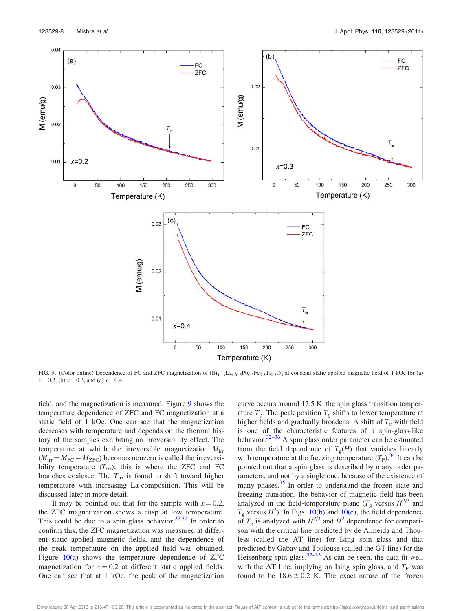

FIG. 9. (Color online) Dependence of FC and ZFC magnetization of  $(Bi_{1-x}La_{x})_{0.5}Pb_{0.5}Fe_{0.5}Ti_{0.5}O_3$  at constant static applied magnetic field of 1 kOe for (a)  $x = 0.2$ , (b)  $x = 0.3$ , and (c)  $x = 0.4$ .

field, and the magnetization is measured. Figure 9 shows the temperature dependence of ZFC and FC magnetization at a static field of 1 kOe. One can see that the magnetization decreases with temperature and depends on the thermal history of the samples exhibiting an irreversibility effect. The temperature at which the irreversible magnetization  $M_{\text{irr}}$  $(M_{irr} = M_{FC} - M_{ZFC})$  becomes nonzero is called the irreversibility temperature  $(T_{irr})$ ; this is where the ZFC and FC branches coalesce. The  $T_{irr}$  is found to shift toward higher temperature with increasing La-composition. This will be discussed later in more detail.

It may be pointed out that for the sample with  $x = 0.2$ , the ZFC magnetization shows a cusp at low temperature. This could be due to a spin glass behavior.<sup>27,32</sup> In order to confirm this, the ZFC magnetization was measured at different static applied magnetic fields, and the dependence of the peak temperature on the applied field was obtained. Figure  $10(a)$  shows the temperature dependence of ZFC magnetization for  $x = 0.2$  at different static applied fields. One can see that at 1 kOe, the peak of the magnetization curve occurs around 17.5 K, the spin glass transition temperature  $T_{\rm g}$ . The peak position  $T_{\rm g}$  shifts to lower temperature at higher fields and gradually broadens. A shift of  $T_g$  with field is one of the characteristic features of a spin-glass-like behavior.32–36 A spin glass order parameter can be estimated from the field dependence of  $T_g(H)$  that vanishes linearly with temperature at the freezing temperature  $(T_F)$ .<sup>34</sup> It can be pointed out that a spin glass is described by many order parameters, and not by a single one, because of the existence of many phases.<sup>35</sup> In order to understand the frozen state and freezing transition, the behavior of magnetic field has been analyzed in the field-temperature plane  $(T<sub>g</sub>$  versus  $H<sup>2/3</sup>$  and  $T_g$  versus  $H^2$ ). In Figs. 10(b) and 10(c), the field dependence of  $T_g$  is analyzed with  $H^{2/3}$  and  $H^2$  dependence for comparison with the critical line predicted by de Almeida and Thouless (called the AT line) for Ising spin glass and that predicted by Gabay and Toulouse (called the GT line) for the Heisenberg spin glass. $32-35$  As can be seen, the data fit well with the AT line, implying an Ising spin glass, and  $T_F$  was found to be  $18.6 \pm 0.2$  K. The exact nature of the frozen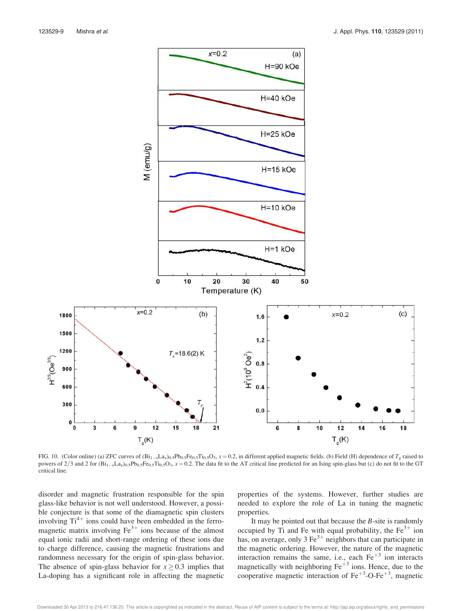

FIG. 10. (Color online) (a) ZFC curves of  $(Bi_{1-x}La_x)_0.5Pb_0.5Fe_0.5Ti_0.5O_3$ ,  $x = 0.2$ , in different applied magnetic fields. (b) Field (H) dependence of  $T_g$  raised to powers of  $2/3$  and 2 for  $(Bi_{1-x}La_{x})_{0.5}Pb_{0.5}Fe_{0.5}Ti_{0.5}O_3$ ,  $x = 0.2$ . The data fit to the AT critical line predicted for an Ising spin-glass but (c) do not fit to the GT critical line.

disorder and magnetic frustration responsible for the spin glass-like behavior is not well understood. However, a possible conjecture is that some of the diamagnetic spin clusters involving  $Ti^{4+}$  ions could have been embedded in the ferromagnetic matrix involving  $Fe<sup>3+</sup>$  ions because of the almost equal ionic radii and short-range ordering of these ions due to charge difference, causing the magnetic frustrations and randomness necessary for the origin of spin-glass behavior. The absence of spin-glass behavior for  $x \geq 0.3$  implies that La-doping has a significant role in affecting the magnetic properties of the systems. However, further studies are needed to explore the role of La in tuning the magnetic properties.

It may be pointed out that because the  $B$ -site is randomly occupied by Ti and Fe with equal probability, the  $Fe<sup>3+</sup>$  ion has, on average, only 3  $\text{Fe}^{3+}$  neighbors that can participate in the magnetic ordering. However, the nature of the magnetic interaction remains the same, i.e., each  $Fe<sup>+3</sup>$  ion interacts magnetically with neighboring  $Fe<sup>+3</sup>$  ions. Hence, due to the cooperative magnetic interaction of  $Fe^{+3}$ -O-Fe<sup>+3</sup>, magnetic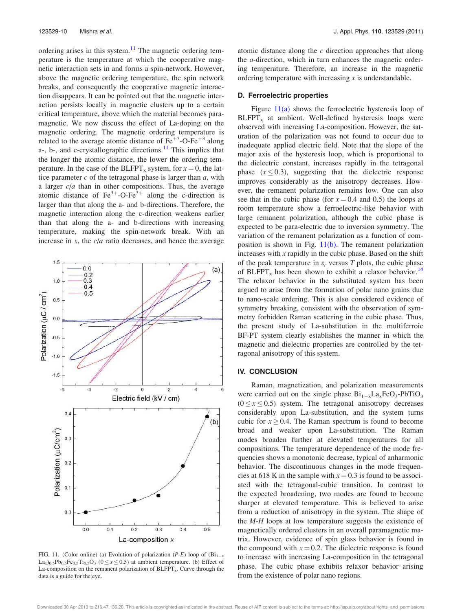ordering arises in this system. $11$  The magnetic ordering temperature is the temperature at which the cooperative magnetic interaction sets in and forms a spin-network. However, above the magnetic ordering temperature, the spin network breaks, and consequently the cooperative magnetic interaction disappears. It can be pointed out that the magnetic interaction persists locally in magnetic clusters up to a certain critical temperature, above which the material becomes paramagnetic. We now discuss the effect of La-doping on the magnetic ordering. The magnetic ordering temperature is related to the average atomic distance of  $Fe<sup>+3</sup>-O-Fe<sup>+3</sup>$  along a-, b-, and c-crystallographic directions.<sup>11</sup> This implies that the longer the atomic distance, the lower the ordering temperature. In the case of the BLFPT<sub>x</sub> system, for  $x = 0$ , the lattice parameter  $c$  of the tetragonal phase is larger than  $a$ , with a larger  $c/a$  than in other compositions. Thus, the average atomic distance of  $\text{Fe}^{3+}$ -O-Fe<sup>3+</sup> along the c-direction is larger than that along the a- and b-directions. Therefore, the magnetic interaction along the c-direction weakens earlier than that along the a- and b-directions with increasing temperature, making the spin-network break. With an increase in  $x$ , the  $c/a$  ratio decreases, and hence the average



FIG. 11. (Color online) (a) Evolution of polarization (*P-E*) loop of  $(Bi_{1-x})$  $\text{La}_{x}\text{O}_{0.5}\text{Pb}_{0.5}\text{Fe}_{0.5}\text{Ti}_{0.5}\text{O}_3$  ( $0 \le x \le 0.5$ ) at ambient temperature. (b) Effect of La-composition on the remanent polarization of  $BLFPT_x$ . Curve through the data is a guide for the eye.

atomic distance along the c direction approaches that along the a-direction, which in turn enhances the magnetic ordering temperature. Therefore, an increase in the magnetic ordering temperature with increasing  $x$  is understandable.

### D. Ferroelectric properties

Figure  $11(a)$  shows the ferroelectric hysteresis loop of  $BLFPT<sub>x</sub>$  at ambient. Well-defined hysteresis loops were observed with increasing La-composition. However, the saturation of the polarization was not found to occur due to inadequate applied electric field. Note that the slope of the major axis of the hysteresis loop, which is proportional to the dielectric constant, increases rapidly in the tetragonal phase  $(x \le 0.3)$ , suggesting that the dielectric response improves considerably as the anisotropy decreases. However, the remanent polarization remains low. One can also see that in the cubic phase (for  $x = 0.4$  and 0.5) the loops at room temperature show a ferroelectric-like behavior with large remanent polarization, although the cubic phase is expected to be para-electric due to inversion symmetry. The variation of the remanent polarization as a function of composition is shown in Fig.  $11(b)$ . The remanent polarization increases with  $x$  rapidly in the cubic phase. Based on the shift of the peak temperature in  $\varepsilon_r$  versus T plots, the cubic phase of BLFPT<sub>x</sub> has been shown to exhibit a relaxor behavior.<sup>14</sup> The relaxor behavior in the substituted system has been argued to arise from the formation of polar nano grains due to nano-scale ordering. This is also considered evidence of symmetry breaking, consistent with the observation of symmetry forbidden Raman scattering in the cubic phase. Thus, the present study of La-substitution in the multiferroic BF-PT system clearly establishes the manner in which the magnetic and dielectric properties are controlled by the tetragonal anisotropy of this system.

## IV. CONCLUSION

Raman, magnetization, and polarization measurements were carried out on the single phase  $Bi_{1-x}La_xFeO_3-PbTiO_3$  $(0 \le x \le 0.5)$  system. The tetragonal anisotropy decreases considerably upon La-substitution, and the system turns cubic for  $x > 0.4$ . The Raman spectrum is found to become broad and weaker upon La-substitution. The Raman modes broaden further at elevated temperatures for all compositions. The temperature dependence of the mode frequencies shows a monotonic decrease, typical of anharmonic behavior. The discontinuous changes in the mode frequencies at 618 K in the sample with  $x = 0.3$  is found to be associated with the tetragonal-cubic transition. In contrast to the expected broadening, two modes are found to become sharper at elevated temperature. This is believed to arise from a reduction of anisotropy in the system. The shape of the M-H loops at low temperature suggests the existence of magnetically ordered clusters in an overall paramagnetic matrix. However, evidence of spin glass behavior is found in the compound with  $x = 0.2$ . The dielectric response is found to increase with increasing La-composition in the tetragonal phase. The cubic phase exhibits relaxor behavior arising from the existence of polar nano regions.

Downloaded 30 Apr 2013 to 216.47.136.20. This article is copyrighted as indicated in the abstract. Reuse of AIP content is subject to the terms at: http://jap.aip.org/about/rights\_and\_permissions